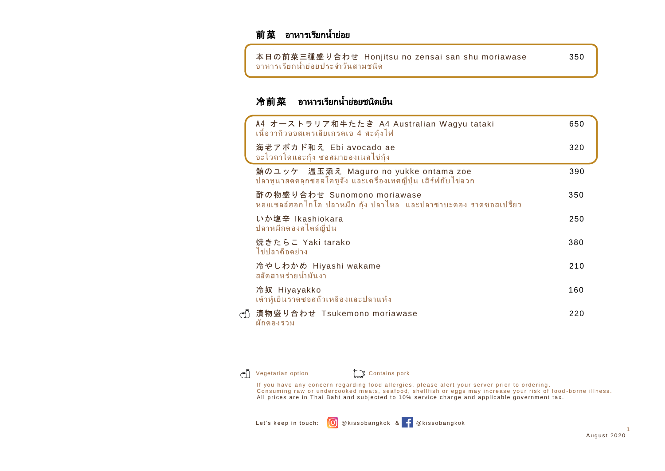### 前菜 อาหารเรียกน้ำย่อย

Ī 本日の前菜三種盛り合わせ Honjitsu no zensai san shu moriawase 350 ้อาหารเรียกน้ำย่อยประจำวันสามชนิด

# 冷前菜 อาหารเรียกน้ำย่อยชนิดเย็น

| A4 オーストラリア和牛たたき A4 Australian Wagyu tataki<br>เนื้อวากิวออสเตรเลียเกรดเอ 4 สะดุ้งไฟ                    | 650 |
|--------------------------------------------------------------------------------------------------------|-----|
| 海老アボカド和え Ebi avocado ae<br>้อะโวคาโดและกุ้ง ซอสมายองเนสไข่กุ้ง                                         | 320 |
| 鮪のユッケ 温玉添え Maguro no yukke ontama zoe<br>ปลาทูน่าสดคลุกซอสโคชูจัง และเครื่องเทศญี่ปุ่น เสิร์ฟกับไข่ลวก | 390 |
| 酢の物盛り合わせ Sunomono moriawase<br>หอยเชลล์ฮอกไกโด ปลาหมึก กุ้ง ปลาไหล และปลาซาบะดอง ราดซอสเปรี้ยว         | 350 |
| いか塩辛 Ikashiokara<br>ปลาหมึกดองสไตล์ญี่ปุ่น                                                             | 250 |
| 焼きたらこ Yaki tarako<br>ไข่ปลาค็อดย่าง                                                                    | 380 |
| 冷やしわかめ Hiyashi wakame<br>สลัดสาหร่ายน้ำมันงา                                                           | 210 |
| 冷奴 Hiyayakko<br>้เต้าหู้เย็นราดซอสถ้วเหลืองและปลาแห้ง                                                  | 160 |
| ♂) 漬物盛り合わせ Tsukemono moriawase<br>้ผักดองรวม                                                           | 220 |

 $\left(\begin{matrix} \ast \\ 0 \end{matrix}\right)$ Vegetarian option Contains pork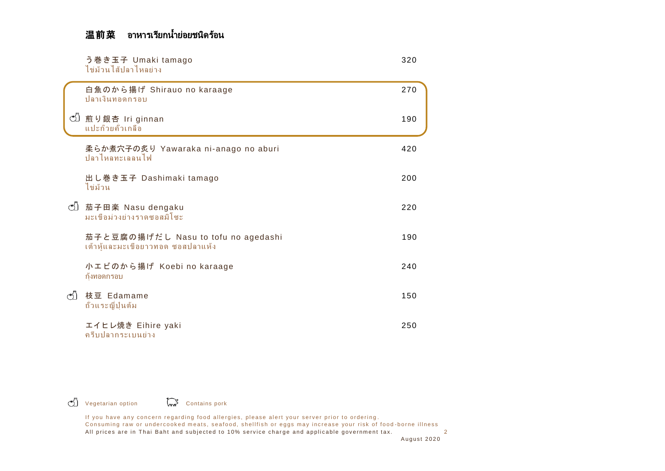# 温前菜 อาหารเรียกน้ำย่อยชนิดร้อน

|    | う巻き玉子 Umaki tamago<br>ไข่ม้วนไส้ปลาไหลย่าง                               | 320 |
|----|--------------------------------------------------------------------------|-----|
|    | 白魚のから揚げ Shirauo no karaage<br>ปลาเงินทอดกรอบ                             | 270 |
| ඡා | 煎り銀杏 Iri ginnan<br>แปะก๊วยคั่วเกลือ                                      | 190 |
|    | 柔らか煮穴子の炙り Yawaraka ni-anago no aburi<br>ปลาไหลทะเลลนไฟ                   | 420 |
|    | 出し巻き玉子 Dashimaki tamago<br>ไข่ม้วน                                       | 200 |
|    | ① 茄子田楽 Nasu dengaku<br>มะเขือม่วงย่างราดซอสมิโซะ                         | 220 |
|    | 茄子と豆腐の揚げだし Nasu to tofu no agedashi<br>เต้าหู้และมะเขือยาวทอด ซอสปลาแห้ง | 190 |
|    | 小エビのから揚げ Koebi no karaage<br>กุ้งทอดกรอบ                                 | 240 |
| නි | 枝豆 Edamame<br>ถ้วแระญี่ปุ่นต้ม                                           | 150 |
|    | エイヒレ焼き Eihire yaki<br>ครีบปลากระเบนย่าง                                  | 250 |

Vegetarian option **Contains pork**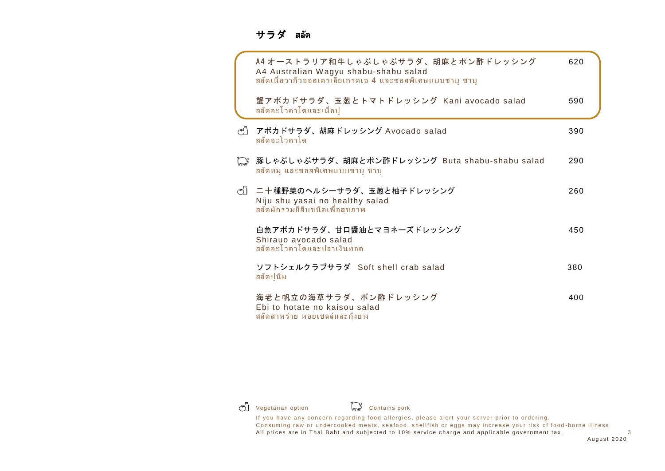#### サラダสลัด

|                        | A4 オーストラリア和牛しゃぶしゃぶサラダ、胡麻とポン酢ドレッシング<br>A4 Australian Wagyu shabu-shabu salad<br>ีสลัดเนื่อวากิวออสเตรเลียเกรดเอ 4 และซอสพิเศษแบบชาบู ชาบู | 620 |
|------------------------|------------------------------------------------------------------------------------------------------------------------------------------|-----|
|                        | 蟹アボカドサラダ、玉葱とトマトドレッシング Kani avocado salad<br>ิสลัดอะโวคาโดและเนื้อปู                                                                      | 590 |
| $($ <sup>*</sup> ) $)$ | アボカドサラダ、胡麻ドレッシング Avocado salad<br>ิสลัดอะโวคาโด                                                                                          | 390 |
| كعسكم                  | 豚しゃぶしゃぶサラダ、胡麻とポン酢ドレッシング Buta shabu-shabu salad<br>ิสลัดหมู และซอสพิเศษแบบชาบู ชาบู                                                       | 290 |
|                        | (*)〕 二十種野菜のヘルシーサラダ、玉葱と柚子ドレッシング<br>Niju shu yasai no healthy salad<br>สลัดผักรวมยี่สิบชนิดเพื่อสุขภาพ                                     | 260 |
|                        | 白魚アボカドサラダ、甘口醤油とマヨネーズドレッシング<br>Shirauo avocado salad<br>สลัดอะโวคาโดและปลาเงินทอด                                                         | 450 |
|                        | ソフトシェルクラブサラダ Soft shell crab salad<br>ิสลัดปนิ่ม                                                                                         | 380 |
|                        | 海老と帆立の海草サラダ、ポン酢ドレッシング<br>Ebi to hotate no kaisou salad<br>ิสลัดสาหร่าย หอยเชลล์และกุ้งย่าง                                               | 400 |



**T** Vegetarian option **Contains pork**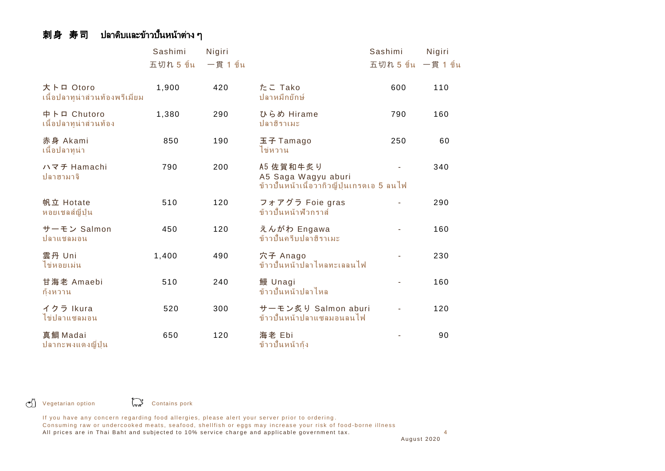# 刺身 寿司 ปลาดิบและข้าวปั้นหน้าต่าง ๆ

|                                              | Sashimi   | Nigiri       |                                                                                | Sashimi              | Nigiri |
|----------------------------------------------|-----------|--------------|--------------------------------------------------------------------------------|----------------------|--------|
|                                              | 五切れ5 ขึ้น | $-$ 貫 1 ขึ้น |                                                                                | 五切れ 5 ขึ้น 一貫 1 ขึ้น |        |
| 大トロ Otoro<br>้เนื้อปลาทูน่าส่วนท้องพรีเมี่ยม | 1,900     | 420          | たこ Tako<br>ปลาหมึกยักษ์                                                        | 600                  | 110    |
| 中トロ Chutoro<br>้เนื้อปลาทูน่าส่วนท้อง        | 1,380     | 290          | ひらめ Hirame<br>ปลาฮิราเมะ                                                       | 790                  | 160    |
| 赤身 Akami<br>เนื้อปลาทูน่า                    | 850       | 190          | 玉子 Tamago<br>ไข่หวาน                                                           | 250                  | 60     |
| ハマチ Hamachi<br>ปลาฮามาจิ                     | 790       | 200          | A5 佐賀和牛炙り<br>A5 Saga Wagyu aburi<br>ข้าวปั้นหน้าเนื้อวากิวญี่ปุ่นเกรดเอ 5 ลนไฟ |                      | 340    |
| 帆立 Hotate<br>หอยเชลส์ญี่ป่น                  | 510       | 120          | フォアグラ Foie gras<br>ข้าวปั้นหน้าฟ้วกราส์                                        |                      | 290    |
| サーモン Salmon<br>ปลาแชลมอน                     | 450       | 120          | えんがわ Engawa<br>ข้าวปั้นครีบปลาฮิราเมะ                                          |                      | 160    |
| 雲丹 Uni<br>ไข่หอยเม่น                         | 1,400     | 490          | 穴子 Anago<br>ข้าวปั้นหน้าปลาไหลทะเลลนไฟ                                         |                      | 230    |
| 甘海老 Amaebi<br>้ก้งหวาน                       | 510       | 240          | 鰻 Unagi<br>ข้าวปั้นหน้าปลาไหล                                                  |                      | 160    |
| イクラ Ikura<br>ไข่ปลาแซลมอน                    | 520       | 300          | サーモン炙り Salmon aburi<br>ข้าวปั้นหน้าปลาแซลมอนลนไฟ                               |                      | 120    |
| 真鯛 Madai<br>ปลากะพงแดงญี่ป่น                 | 650       | 120          | 海老 Ebi<br>ข้าวปั้นหน้าก้ง                                                      |                      | 90     |

ජා

Vegetarian option Contains pork

If you have any concern regarding food allergies, please alert your server prior to ordering.

Consuming raw or undercooked meats, seafood, shellfish or eggs may increase your risk of food-borne illness All prices are in Thai Baht and subjected to 10% service charge and applicable government tax. 4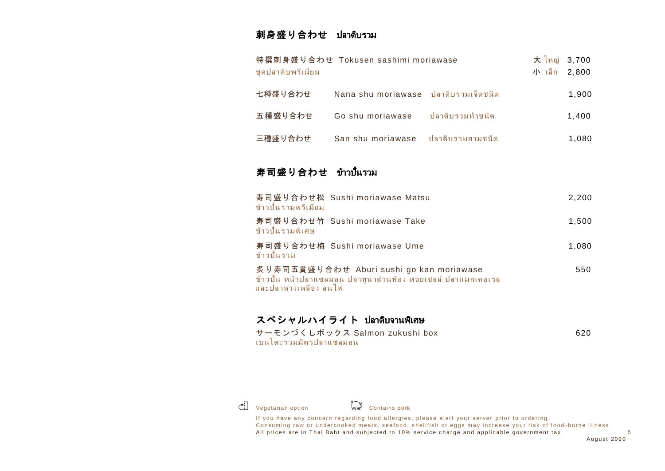#### 刺身盛り合わせ ปลาดิบรวม

| 特撰刺身盛り合わせ Tokusen sashimi moriawase<br>ชดปลาดิบพรีเมี่ยม | 大 ใหญ่ 3,700<br>小 เล็ก 2,800         |                  |  |       |
|----------------------------------------------------------|--------------------------------------|------------------|--|-------|
| 七種盛り合わせ                                                  | Nana shu moriawase ปลาดิบรวมเจ็ดชนิด |                  |  | 1,900 |
| 五種盛り合わせ                                                  | Go shu moriawase                     | ปลาดิบรวมห้าชนิด |  | 1,400 |
| 三種盛り合わせ                                                  | San shu moriawase                    | ปลาดิบรวมสามชนิด |  | 1,080 |
|                                                          |                                      |                  |  |       |

# 寿司盛り合わせ ข้าวปั้นรวม

| ข้าวปั้นรวมพรีเมี่ยม | 寿司盛り合わせ松 Sushi moriawase Matsu |                                                                                                           | 2,200 |
|----------------------|--------------------------------|-----------------------------------------------------------------------------------------------------------|-------|
| ข้าวปั้นรวมพิเศษ     | 寿司盛り合わせ竹 Sushi moriawase Take  |                                                                                                           | 1,500 |
| ข้าวปั้นรวม          | 寿司盛り合わせ梅 Sushi moriawase Ume   |                                                                                                           | 1.080 |
| และปลาหางเหลือง ลนไฟ |                                | 炙り寿司五貫盛り合わせ Aburi sushi go kan moriawase<br>ข้าวปั้น หน้าปลาแซลมอน ปลาทูน่าส่วนท้อง หอยเชลล์ ปลาแมกเคอเรล | 550   |

### スペシャルハイライト ปลาดิบจานพิเศษ

| サーモンづくしボックス Salmon zukushi box | 620 |
|--------------------------------|-----|
| เบนโตะรวมมิตรปลาแซลมอน         |     |



Vegetarian option Contains pork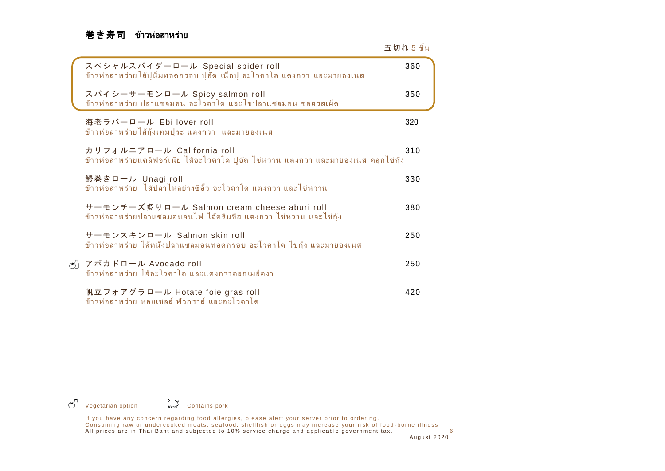# 巻き寿司ข้าวห่อสาหร่าย

| スペシャルスパイダーロール Special spider roll<br>ข้าวห่อสาหร่ายไส้ปูนิ่มทอดกรอบ ปูอัด เนื้อปู อะโวคาโด แตงกวา และมายองเนส     | 360 |
|-------------------------------------------------------------------------------------------------------------------|-----|
| スパイシーサーモンロール Spicy salmon roll<br>ข้าวห่อสาหร่าย ปลาแซลมอน อะโวคาโด และไข่ปลาแซลมอน ซอสรสเผ็ด                     | 350 |
| 海老ラバーロール Ebilover roll<br>ข้าวห่อสาหร่ายไส้กุ้งเทมปุระ แตงกวา และมายองเนส                                         | 320 |
| カリフォルニアロール California roll<br>ข้าวห่อสาหร่ายแคลิฟอร์เนีย ไส้อะโวคาโด ปูอัด ไข่หวาน แตงกวา และมายองเนส คลุกไข่กุ้ง | 310 |
| 鰻巻きロール Unagi roll<br>ข้าวห่อสาหร่าย ไส้ปล <sup>้</sup> าไหลย่างซีอิ๊ว อะโวคาโด แตงกวา และไข่หวาน                  | 330 |
| サーモンチーズ炙りロール Salmon cream cheese aburi roll<br>ข้าวห่อสาหร่ายปลาแซลมอนลนไฟ ไส้ครีมขีส แตงกวา ไข่หวาน และไข่ก้ง    | 380 |
| サーモンスキンロール Salmon skin roll<br>ข้าวห่อสาหร่าย ไส้หนังปลาแซลมอนทอดกรอบ อะโวคาโด ไข่กุ้ง และมายองเนส                | 250 |
| ♂ アボカドロール Avocado roll<br>ข้าวห่อสาหร่าย ไส้อะโวคาโด และแตงกวาคลุกเมล็ดงา                                         | 250 |
| 帆立フォアグラロール Hotate foie gras roll<br>ข้าวห่อสาหร่าย หอยเชลล์ ฟ้วกราส์ และอะโวคาโด                                  | 420 |

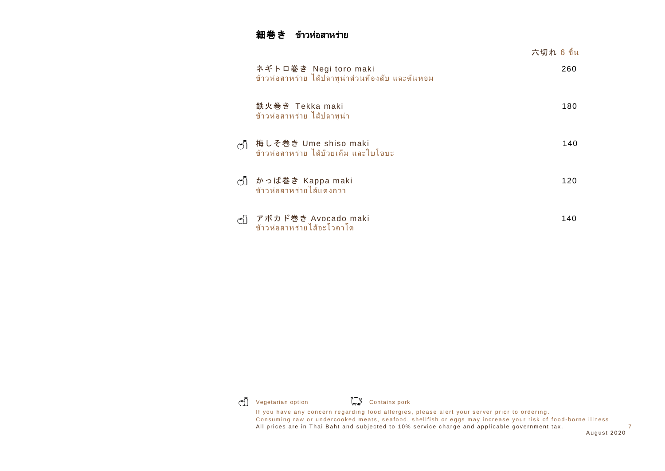### 細巻きข้าวห่อสาหร่าย

|                                                                                                                                     | 六切れ 6 ขึ้น |
|-------------------------------------------------------------------------------------------------------------------------------------|------------|
| ネギトロ巻き Negi toro maki<br>ข้าวห่อสาหร่าย ไส้ปลาทูน่าส่วนท้องสับ และต้นหอม                                                            | 260        |
| 鉄火巻き Tekka maki<br>์ ข้าวห่อสาหร่าย ไส้ปลาทูน่า                                                                                     | 180        |
| 梅しそ巻き Ume shiso maki<br>$\left(\begin{smallmatrix} * & 0 \\ 0 & 0 \end{smallmatrix}\right)$<br>ข้าวห่อสาหร่าย ไส้บ๊วยเค็ม และใบโอบะ | 140        |
| ტ】 かっぱ巻き Kappa maki<br>ข้าวห่อสาหร่ายไส้แตงกวา                                                                                      | 120        |
| アボカド巻き Avocado maki<br>$\left(\begin{matrix} 1 \\ 1 \end{matrix}\right)$<br>ข้าวห่อสาหร่ายไส้อะโวคาโด                               | 140        |

G Vegetarian option Contains pork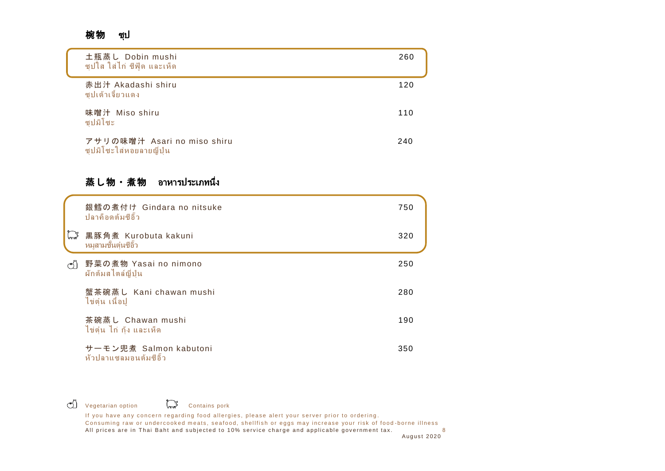#### 椀物 ซุป

| 土瓶蒸し Dobin mushi<br>ี ซุปใส ใส่ไก่ ซีฟู้ด และเห็ด       | 260 |
|---------------------------------------------------------|-----|
| 赤出汁 Akadashi shiru<br>ีซปเต้าเจี้ยวแดง                  | 120 |
| 味噌汁 Miso shiru<br>ซปมิโซะ                               | 110 |
| アサリの味噌汁 Asari no miso shiru<br>ซุปมิโซะใส่หอยลายญี่ปุ่น | 240 |

# 蒸し物・煮物 อาหารประเภทนึ่ง

|                 | 銀鱈の煮付け Gindara no nitsuke<br>ปลาค็อดต้มซีอิ๊ว   | 750 |
|-----------------|-------------------------------------------------|-----|
| میں<br>مس       | 黒豚角煮 Kurobuta kakuni<br>หมสามชั้นต๋นซีอิ๊ว      | 320 |
| $\mathcal{C}^*$ | 野菜の煮物 Yasai no nimono<br>ผักต้มสไตล์ญี่ปุ่น     | 250 |
|                 | 蟹茶碗蒸し Kani chawan mushi<br>ไข่ตุ๋น เนื้อปู      | 280 |
|                 | 茶碗蒸し Chawan mushi<br>ไข่ตุ๋น ไก่ กุ้ง และเห็ด   | 190 |
|                 | サーモン兜煮 Salmon kabutoni<br>หัวปลาแซลมอนต้มซีอิ๊ว | 350 |

 $\circ$  Vegetarian option  $\circ$  Contains pork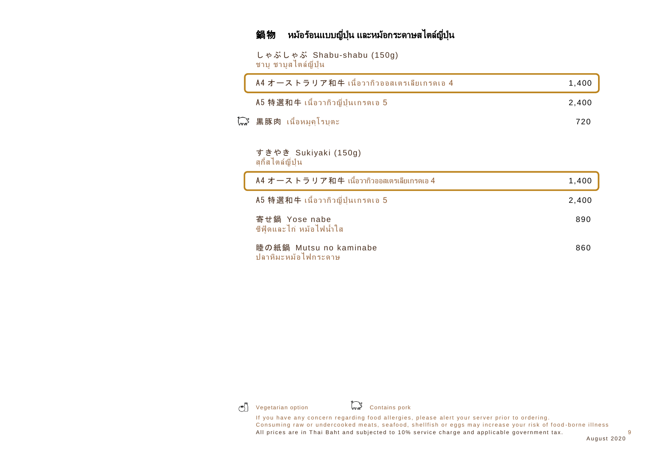# 鍋物 หม้อร้อนแบบญี่ปุ่น และหม้อกระดาษสไตล์ญี่ปุ่น

しゃぶしゃぶ Shabu-shabu (150g) ี ชาบ ชาบสไตล์ญี่ป่น

| A4 オーストラリア和牛 เนื้อวากิวออสเตรเลียเกรดเอ 4              | 1,400 |
|--------------------------------------------------------|-------|
| A5 特選和牛 เนื้อวากิวญี่ปุ่นเกรดเอ 5                      | 2,400 |
| ไก๊ 黒豚肉 เนื้อหมุดโรบตะ                                 | 720   |
| すきやき Sukiyaki (150g)<br>ิสกี้สไตล์ญี่ป่น               |       |
| $A4 + - Z + - 5 + 7 + 14$ เนื้อวากิวออสเตรเลียเกรดเอ 4 | 1,400 |
| A5 特選和牛 เนื้อวากิวญี่ปุ่นเกรดเอ 5                      | 2,400 |
| 寄せ鍋 Yose nabe<br>ี่ ซีฟุ้ดและไก่ หม้อไฟน้ำใส           | 890   |
| 睦の紙鍋 Mutsu no kaminabe<br>ปลาหิมะหม้อไฟกระดาษ          | 860   |



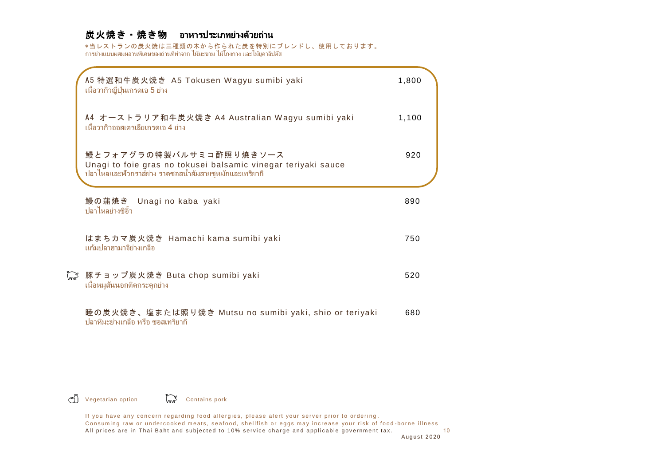### 炭火焼き・焼き物อาหารประเภทย่างด้วยถ่าน

\*当レストランの炭火焼は三種類の木から作られた炭を特別にブレンドし、使用しております。 การย่างแบบผสมผสานพิเศษของถ่านที่ทำจาก ไม้มะขาม ไม้โกงกาง และไม้ยูคาลิปตัส

| A5 特選和牛炭火焼き A5 Tokusen Wagyu sumibi yaki<br>้ เนื้อวากิวญี่ปุ่นเกรดเอ 5 ย่าง                                                                        | 1,800 |  |
|-----------------------------------------------------------------------------------------------------------------------------------------------------|-------|--|
| A4 オーストラリア和牛炭火焼き A4 Australian Wagyu sumibi yaki<br>้ เนื้อวากิวออสเตรเลียเกรดเอ 4 ย่าง                                                             | 1,100 |  |
| 鰻とフォアグラの特製バルサミコ酢照り焼きソース<br>Unagi to foie gras no tokusei balsamic vinegar teriyaki sauce<br>้ปลาไหลและฟัวกราส์ย่าง ราดซอสน้ำส้มสายชูหมักและเทริยากิ | 920   |  |
| 鰻の蒲焼き Unagi no kaba yaki<br>ู ปลาไหลย่างซีอิ๊ว                                                                                                      | 890   |  |
| はまちカマ炭火焼き Hamachi kama sumibi yaki<br>้แก้มปลาฮามาจิย่างเกลือ                                                                                       | 750   |  |
| 【ぷ 豚チョップ炭火焼き Buta chop sumibi yaki<br>้เนื้อหมูสันนอกติดกระดูกย่าง                                                                                  | 520   |  |
| 睦の炭火焼き、塩または照り焼き Mutsu no sumibi yaki, shio or teriyaki<br>ี ปลาหิมะย่างเกลือ หรือ ซอสเทริยากิ                                                       | 680   |  |

Vegetarian option Contains pork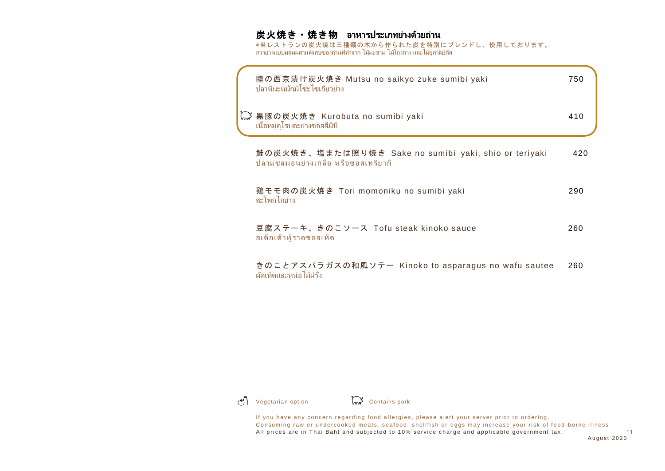# 炭火焼き・焼き物 อาหารประเภทย่างด้วยถ่าน

\*当レストランの炭火焼は三種類の木から作られた炭を特別にブレンドし、使用しております。 การย่างแบบผสมผสานพิเศษของถ่านที่ทำจาก ไม้มะขาม ไม้โกงกาง และไม้ยูคาลิปตัส

| 睦の西京漬け炭火焼き Mutsu no saikyo zuke sumibi yaki<br>้ ปลาหิมะหมักมิโฑะไฑเกี่ยวย่าง               | 750 |
|---------------------------------------------------------------------------------------------|-----|
| 、ぷ 黒豚の炭火焼き Kurobuta no sumibi yaki<br>้เนื้อหมูคุโรบตะย่างซอสสึมิบิ                         | 410 |
| 鮭の炭火焼き、塩または照り焼き Sake no sumibi yaki, shio or teriyaki<br>ปลาแซลมอนย่างเกลือ หรือซอสเทริยากิ | 420 |
| 鶏モモ肉の炭火焼き Tori momoniku no sumibi yaki<br>สะโพกไก่ย่าง                                      | 290 |
| 豆腐ステーキ、きのこソース Tofu steak kinoko sauce<br>สเต็กเต้าหู้ราดซอสเห็ด                             | 260 |
| きのことアスパラガスの和風ソテー Kinoko to asparagus no wafu sautee<br>ผัดเห็ดและหน่อไม้ฝรั่ง               | 260 |

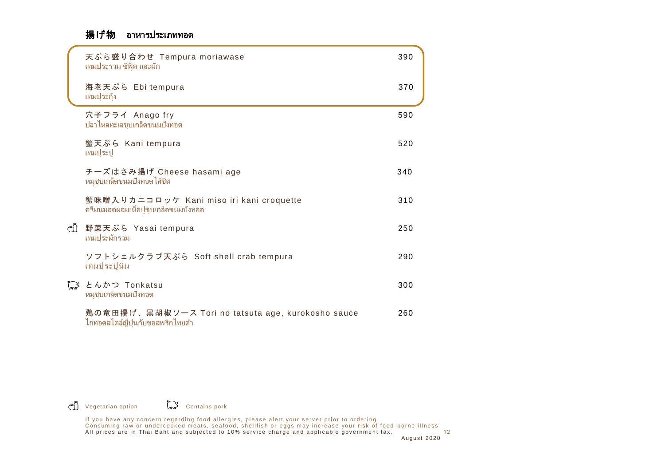### 揚げ物 อาหารประเภททอด

|    | 天ぷら盛り合わせ Tempura moriawase<br>้เทมปุระรวม ซีฟู้ด และผัก                                 | 390 |
|----|-----------------------------------------------------------------------------------------|-----|
|    | 海老天ぷら Ebi tempura<br>เทมประก้ง                                                          | 370 |
|    | 穴子フライ Anago fry<br>ปลาไหลทะเลชุบเกล็ดขนมปังทอด                                          | 590 |
|    | 蟹天ぷら Kani tempura<br>เทมปุระปุ                                                          | 520 |
|    | チーズはさみ揚げ Cheese hasami age<br>หมูชุบเกล็ดขนมปังทอดไส้ชีส                                | 340 |
|    | 蟹味噌入りカニコロッケ Kani miso iri kani croquette<br>ิครีมนมสดผสมเนื้อปู่ชุบเกล็ดขนมปังทอด       | 310 |
| න් | 野菜天ぷら Yasai tempura<br>เทมประผักรวม                                                     | 250 |
|    | ソフトシェルクラブ天ぷら Soft shell crab tempura<br>เทมปุระปูนิ่ม                                   | 290 |
|    | 【。 とんかつ Tonkatsu<br>หมูชุบเกล็ดขนมปังทอด                                                | 300 |
|    | 鶏の竜田揚げ、黒胡椒ソース Tori no tatsuta age, kurokosho sauce<br>ไก่ทอดสไตล์ญี่ปุ่นกับซอสพริกไทยดำ | 260 |

Vegetarian option Contains pork

If you have any concern regarding food allergies, please alert your server prior to ordering. Consuming raw or undercooked meats, seafood, shellfish or eggs may increase your risk of food-borne illness A l l p ri ce s a r e i n T h ai B a h t a n d s ub j e ct e d t o 1 0% s e rv i c e c h a r g e a n d a p pl i c a bl e g ov e rnm e nt t a x. 12 A ugu st 20 2 0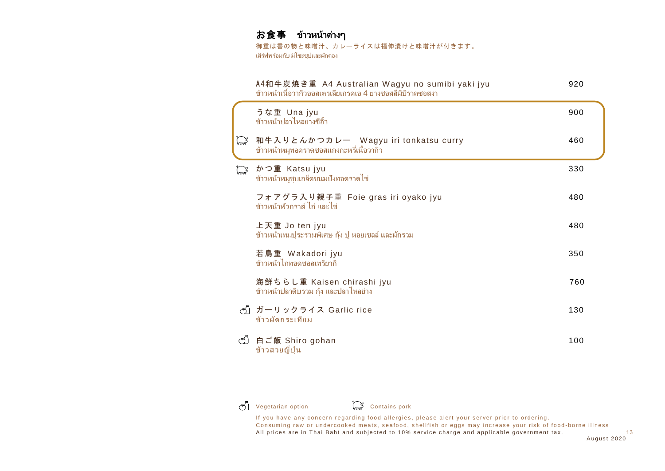# お食事 ข้าวหน้าต่างๆ

御重は香の物と味噌汁、カレーライスは福伸漬けと味噌汁が付きます。 เสิร์ฟพร้อมกับ มิโซะซุปและผักดอง

|             | A4和牛炭焼き重 A4 Australian Wagyu no sumibi yaki jyu<br>ข้าวหน้าเนื้อวากิวออสเตรเลียเกรดเอ 4 ย่างซอสสึมิบิราดซอสงา | 920 |
|-------------|---------------------------------------------------------------------------------------------------------------|-----|
|             | うな重 Una jyu<br>ข้าวหน้าปลาไหลย่างซีอิ๊ว                                                                       | 900 |
| and         | 和牛入りとんかつカレー Wagyu iri tonkatsu curry<br>ข้าวหน้าหมูทอดราดซอสแกงกะหรี่เนื้อวากิว                               | 460 |
| <b>Page</b> | かつ重 Katsu jyu<br>ข้าวหน้าหมูชุบเกล็ดขนมปังทอดราดไข่                                                           | 330 |
|             | フォアグラ入り親子重 Foie gras iri oyako jyu<br>์ข้าวหน้าฟ้วกราส์ ไก่ และไข่                                            | 480 |
|             | 上天重 Jo ten jyu<br>ข้าวหน้าเทมปุระรวมพิเศษ กุ้ง ปู หอยเชลล์ และผักรวม                                          | 480 |
|             | 若鳥重 Wakadori jyu<br>ข้าวหน้าไก่ทอดซอสเทริยากิ                                                                 | 350 |
|             | 海鮮ちらし重 Kaisen chirashi jyu<br>ข้าวหน้าปลาดิบรวม กุ้ง และปลาไหลย่าง                                            | 760 |
|             | ♂〗ガーリックライス Garlic rice<br>ข้าวผัดกระเทียม                                                                     | 130 |
|             | ♂ 白ご飯 Shiro gohan<br>ข้าวสวยญี่ปุ่น                                                                           | 100 |



 $\binom{4}{3}$  Vegetarian option  $\binom{4}{3}$  Contains pork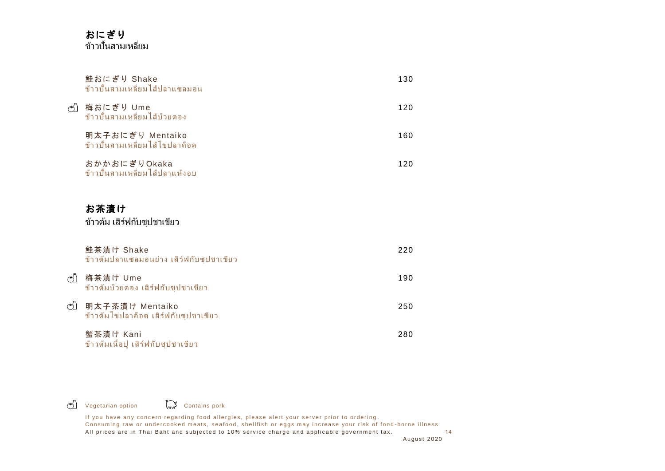### おにぎり ข้าวปั้นสามเหลี่ยม

|    | 鮭おにぎり Shake<br>ข้าวปั้นสามเหลี่ยมไส้ปลาแซลมอน               | 130 |
|----|-------------------------------------------------------------|-----|
| න් | 梅おにぎり Ume<br>ข้าวปั้นสามเหลี่ยมไส้บ๊วยดอง                   | 120 |
|    | 明太子おにぎり Mentaiko<br>ข้าวปั้นสามเหลี่ยมไส้ไข่ปลาค็อด         | 160 |
|    | おかかおにぎりOkaka<br>ข้าวปั้นสามเหลี่ยมไส้ปลาแห้งอบ              | 120 |
|    | お茶漬け<br>ข้าวต้ม เสิร์ฟกับซุปชาเขียว                         |     |
|    | 鮭茶漬け Shake<br>ข้าวต้มปลาแซลมอนย่าง เสิร์ฟกับซุปชาเขียว      | 220 |
| ඡා | 梅茶漬け Ume<br>ข้าวต้มบ๊วยดอง เสิร์ฟกับซุปชาเขียว              | 190 |
|    | ♂] 明太子茶漬け Mentaiko<br>ข้าวต้มไข่ปลาค็อด เสิร์ฟกับซุปชาเขียว | 250 |
|    | 蟹茶漬け Kani                                                   | 280 |

ข้าวต้มเนื้อปู เสิร์ฟกับซุปชาเขียว

Vegetarian option Contains pork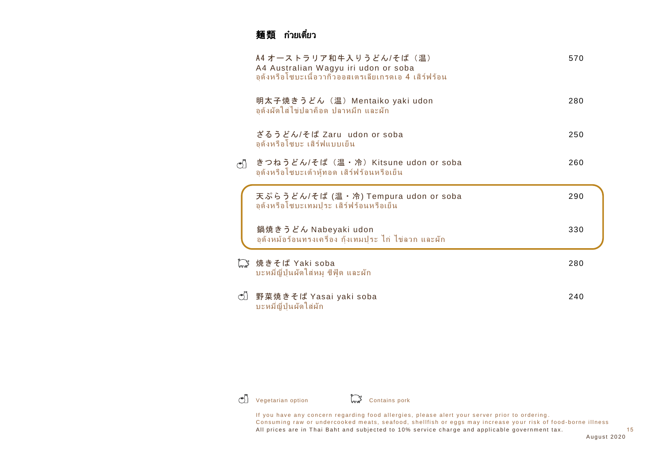# 麺類 ก๋วยเตี๋ยว

|                    | A4 オーストラリア和牛入りうどん/そば (温)<br>A4 Australian Wagyu iri udon or soba<br>อด้งหรือโซบะเนื้อวากิวออสเตรเลียเกรดเอ 4 เสิร์ฟร้อน | 570 |
|--------------------|-------------------------------------------------------------------------------------------------------------------------|-----|
|                    | 明太子焼きうどん(温)Mentaiko yaki udon<br>้อุด้งผัดใส่ไข่ปลาค็อด ปลาหมึก และผัก                                                  | 280 |
|                    | ざるうどん/そば Zaru_udon_or_soba<br>้อุด้งหรือโซบะ เสิร์ฟแบบเย็น                                                              | 250 |
| $\circ$            | きつねうどん/そば(温・冷)Kitsune udon or soba<br>้อุด้งหรือโซบะเต้าหู้ทอด เสิร์ฟร้อนหรือเย็น                                       | 260 |
|                    | 天ぷらうどん/そば (温・冷) Tempura udon or soba<br>อด้งหรือโซบะเทมปุระ เสิร์ฟร้อนหรือเย็น                                          | 290 |
|                    | 鍋焼きうどん Nabeyaki udon<br>้อุด้งหม้อร้อนทรงเครื่อง กุ้งเทมปุระ ไก่ ไข่ลวก และผัก                                          | 330 |
|                    | 【 焼きそば Yaki soba<br>้บะหมี่ญี่ปุ่นผัดใส่หมู ซีฟู้ด และผัก                                                               | 280 |
| $\circlearrowleft$ | 野菜焼きそば Yasai yaki soba<br>บะหมี่ญี่ปุ่นผัดใส่ผัก                                                                        | 240 |
|                    |                                                                                                                         |     |